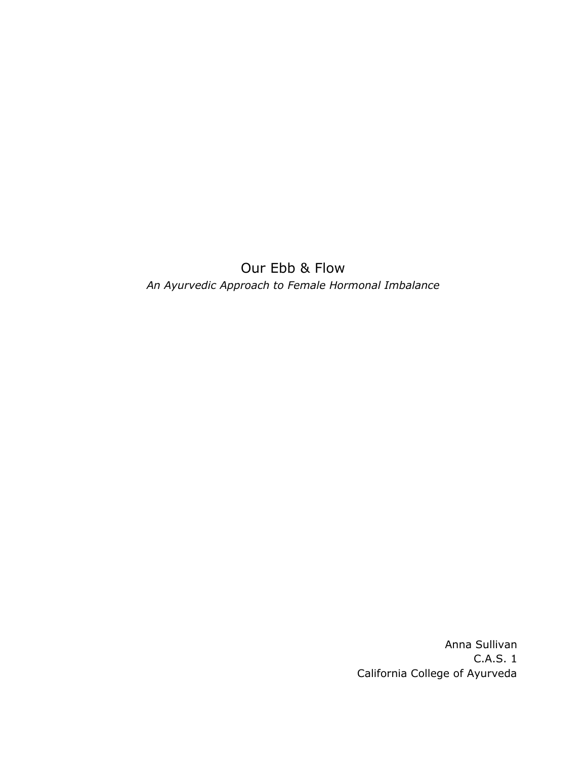Our Ebb & Flow *An Ayurvedic Approach to Female Hormonal Imbalance*

> Anna Sullivan C.A.S. 1 California College of Ayurveda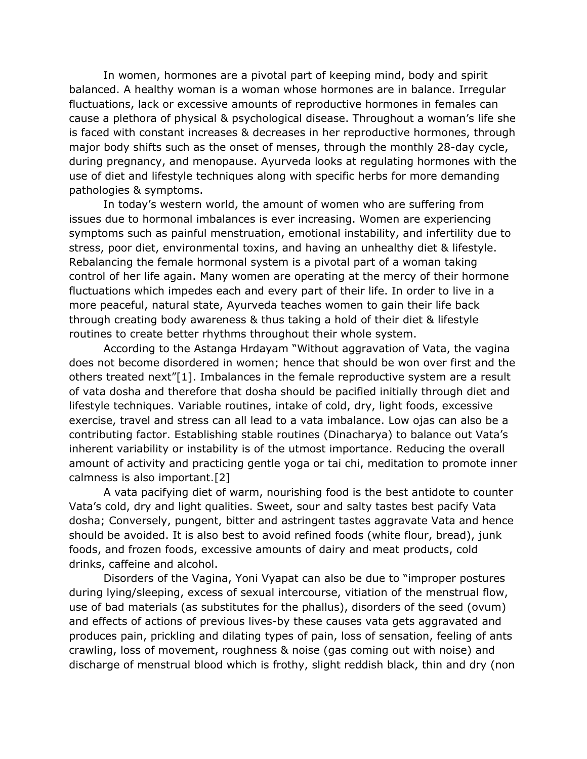In women, hormones are a pivotal part of keeping mind, body and spirit balanced. A healthy woman is a woman whose hormones are in balance. Irregular fluctuations, lack or excessive amounts of reproductive hormones in females can cause a plethora of physical & psychological disease. Throughout a woman's life she is faced with constant increases & decreases in her reproductive hormones, through major body shifts such as the onset of menses, through the monthly 28-day cycle, during pregnancy, and menopause. Ayurveda looks at regulating hormones with the use of diet and lifestyle techniques along with specific herbs for more demanding pathologies & symptoms.

In today's western world, the amount of women who are suffering from issues due to hormonal imbalances is ever increasing. Women are experiencing symptoms such as painful menstruation, emotional instability, and infertility due to stress, poor diet, environmental toxins, and having an unhealthy diet & lifestyle. Rebalancing the female hormonal system is a pivotal part of a woman taking control of her life again. Many women are operating at the mercy of their hormone fluctuations which impedes each and every part of their life. In order to live in a more peaceful, natural state, Ayurveda teaches women to gain their life back through creating body awareness & thus taking a hold of their diet & lifestyle routines to create better rhythms throughout their whole system.

According to the Astanga Hrdayam "Without aggravation of Vata, the vagina does not become disordered in women; hence that should be won over first and the others treated next"[1]. Imbalances in the female reproductive system are a result of vata dosha and therefore that dosha should be pacified initially through diet and lifestyle techniques. Variable routines, intake of cold, dry, light foods, excessive exercise, travel and stress can all lead to a vata imbalance. Low ojas can also be a contributing factor. Establishing stable routines (Dinacharya) to balance out Vata's inherent variability or instability is of the utmost importance. Reducing the overall amount of activity and practicing gentle yoga or tai chi, meditation to promote inner calmness is also important.[2]

A vata pacifying diet of warm, nourishing food is the best antidote to counter Vata's cold, dry and light qualities. Sweet, sour and salty tastes best pacify Vata dosha; Conversely, pungent, bitter and astringent tastes aggravate Vata and hence should be avoided. It is also best to avoid refined foods (white flour, bread), junk foods, and frozen foods, excessive amounts of dairy and meat products, cold drinks, caffeine and alcohol.

Disorders of the Vagina, Yoni Vyapat can also be due to "improper postures during lying/sleeping, excess of sexual intercourse, vitiation of the menstrual flow, use of bad materials (as substitutes for the phallus), disorders of the seed (ovum) and effects of actions of previous lives-by these causes vata gets aggravated and produces pain, prickling and dilating types of pain, loss of sensation, feeling of ants crawling, loss of movement, roughness & noise (gas coming out with noise) and discharge of menstrual blood which is frothy, slight reddish black, thin and dry (non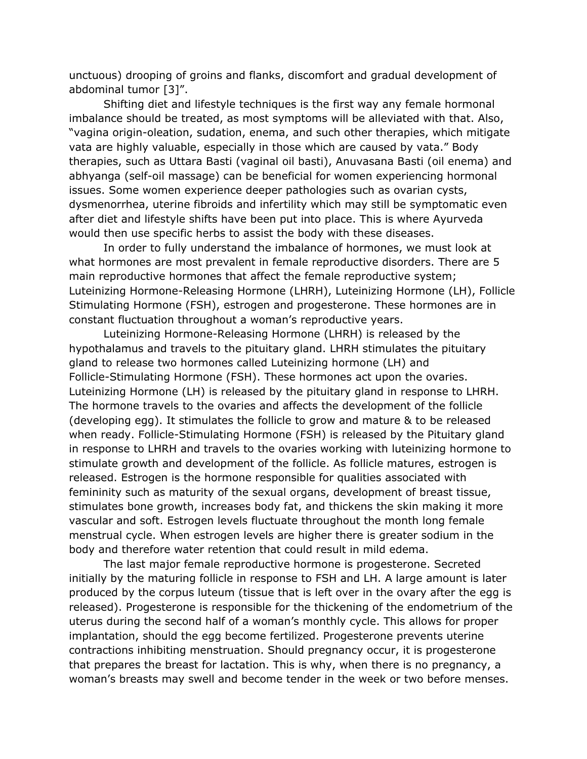unctuous) drooping of groins and flanks, discomfort and gradual development of abdominal tumor [3]".

Shifting diet and lifestyle techniques is the first way any female hormonal imbalance should be treated, as most symptoms will be alleviated with that. Also, "vagina origin-oleation, sudation, enema, and such other therapies, which mitigate vata are highly valuable, especially in those which are caused by vata." Body therapies, such as Uttara Basti (vaginal oil basti), Anuvasana Basti (oil enema) and abhyanga (self-oil massage) can be beneficial for women experiencing hormonal issues. Some women experience deeper pathologies such as ovarian cysts, dysmenorrhea, uterine fibroids and infertility which may still be symptomatic even after diet and lifestyle shifts have been put into place. This is where Ayurveda would then use specific herbs to assist the body with these diseases.

In order to fully understand the imbalance of hormones, we must look at what hormones are most prevalent in female reproductive disorders. There are 5 main reproductive hormones that affect the female reproductive system; Luteinizing Hormone-Releasing Hormone (LHRH), Luteinizing Hormone (LH), Follicle Stimulating Hormone (FSH), estrogen and progesterone. These hormones are in constant fluctuation throughout a woman's reproductive years.

Luteinizing Hormone-Releasing Hormone (LHRH) is released by the hypothalamus and travels to the pituitary gland. LHRH stimulates the pituitary gland to release two hormones called Luteinizing hormone (LH) and Follicle-Stimulating Hormone (FSH). These hormones act upon the ovaries. Luteinizing Hormone (LH) is released by the pituitary gland in response to LHRH. The hormone travels to the ovaries and affects the development of the follicle (developing egg). It stimulates the follicle to grow and mature & to be released when ready. Follicle-Stimulating Hormone (FSH) is released by the Pituitary gland in response to LHRH and travels to the ovaries working with luteinizing hormone to stimulate growth and development of the follicle. As follicle matures, estrogen is released. Estrogen is the hormone responsible for qualities associated with femininity such as maturity of the sexual organs, development of breast tissue, stimulates bone growth, increases body fat, and thickens the skin making it more vascular and soft. Estrogen levels fluctuate throughout the month long female menstrual cycle. When estrogen levels are higher there is greater sodium in the body and therefore water retention that could result in mild edema.

The last major female reproductive hormone is progesterone. Secreted initially by the maturing follicle in response to FSH and LH. A large amount is later produced by the corpus luteum (tissue that is left over in the ovary after the egg is released). Progesterone is responsible for the thickening of the endometrium of the uterus during the second half of a woman's monthly cycle. This allows for proper implantation, should the egg become fertilized. Progesterone prevents uterine contractions inhibiting menstruation. Should pregnancy occur, it is progesterone that prepares the breast for lactation. This is why, when there is no pregnancy, a woman's breasts may swell and become tender in the week or two before menses.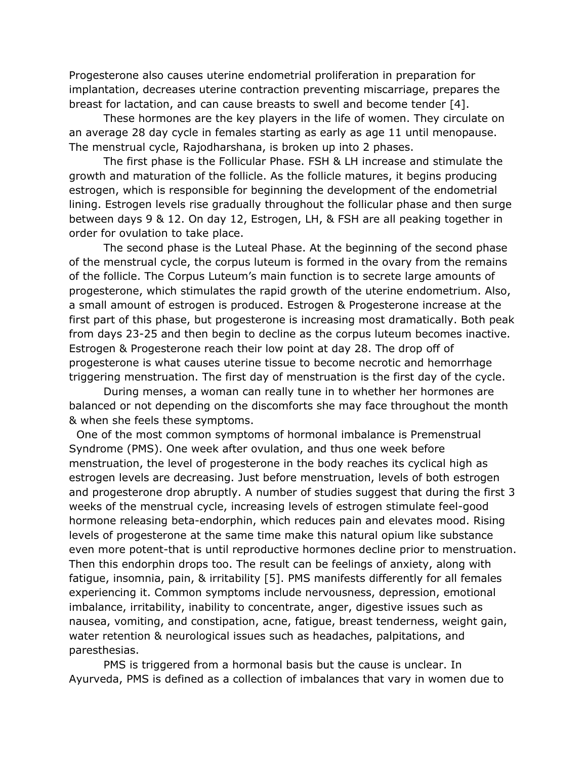Progesterone also causes uterine endometrial proliferation in preparation for implantation, decreases uterine contraction preventing miscarriage, prepares the breast for lactation, and can cause breasts to swell and become tender [4].

These hormones are the key players in the life of women. They circulate on an average 28 day cycle in females starting as early as age 11 until menopause. The menstrual cycle, Rajodharshana, is broken up into 2 phases.

The first phase is the Follicular Phase. FSH & LH increase and stimulate the growth and maturation of the follicle. As the follicle matures, it begins producing estrogen, which is responsible for beginning the development of the endometrial lining. Estrogen levels rise gradually throughout the follicular phase and then surge between days 9 & 12. On day 12, Estrogen, LH, & FSH are all peaking together in order for ovulation to take place.

The second phase is the Luteal Phase. At the beginning of the second phase of the menstrual cycle, the corpus luteum is formed in the ovary from the remains of the follicle. The Corpus Luteum's main function is to secrete large amounts of progesterone, which stimulates the rapid growth of the uterine endometrium. Also, a small amount of estrogen is produced. Estrogen & Progesterone increase at the first part of this phase, but progesterone is increasing most dramatically. Both peak from days 23-25 and then begin to decline as the corpus luteum becomes inactive. Estrogen & Progesterone reach their low point at day 28. The drop off of progesterone is what causes uterine tissue to become necrotic and hemorrhage triggering menstruation. The first day of menstruation is the first day of the cycle.

During menses, a woman can really tune in to whether her hormones are balanced or not depending on the discomforts she may face throughout the month & when she feels these symptoms.

One of the most common symptoms of hormonal imbalance is Premenstrual Syndrome (PMS). One week after ovulation, and thus one week before menstruation, the level of progesterone in the body reaches its cyclical high as estrogen levels are decreasing. Just before menstruation, levels of both estrogen and progesterone drop abruptly. A number of studies suggest that during the first 3 weeks of the menstrual cycle, increasing levels of estrogen stimulate feel-good hormone releasing beta-endorphin, which reduces pain and elevates mood. Rising levels of progesterone at the same time make this natural opium like substance even more potent-that is until reproductive hormones decline prior to menstruation. Then this endorphin drops too. The result can be feelings of anxiety, along with fatigue, insomnia, pain, & irritability [5]. PMS manifests differently for all females experiencing it. Common symptoms include nervousness, depression, emotional imbalance, irritability, inability to concentrate, anger, digestive issues such as nausea, vomiting, and constipation, acne, fatigue, breast tenderness, weight gain, water retention & neurological issues such as headaches, palpitations, and paresthesias.

PMS is triggered from a hormonal basis but the cause is unclear. In Ayurveda, PMS is defined as a collection of imbalances that vary in women due to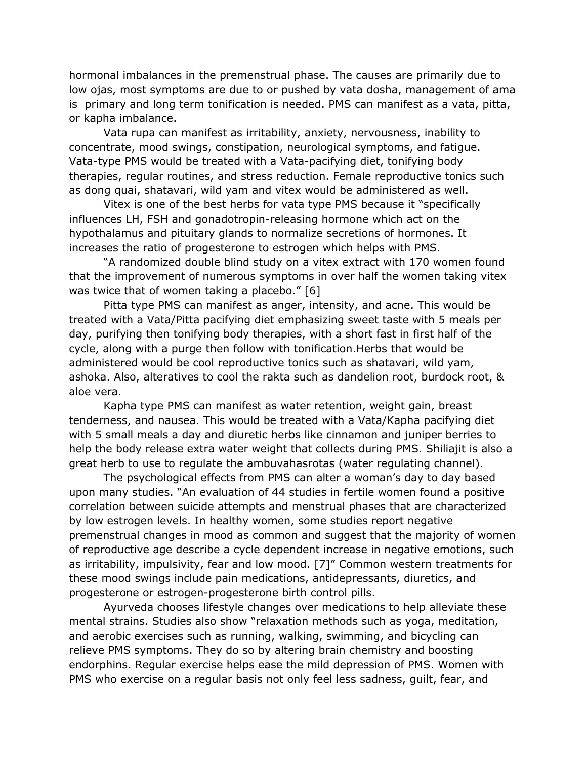hormonal imbalances in the premenstrual phase. The causes are primarily due to low ojas, most symptoms are due to or pushed by vata dosha, management of ama is primary and long term tonification is needed. PMS can manifest as a vata, pitta, or kapha imbalance.

Vata rupa can manifest as irritability, anxiety, nervousness, inability to concentrate, mood swings, constipation, neurological symptoms, and fatigue. Vata-type PMS would be treated with a Vata-pacifying diet, tonifying body therapies, regular routines, and stress reduction. Female reproductive tonics such as dong quai, shatavari, wild yam and vitex would be administered as well.

Vitex is one of the best herbs for vata type PMS because it "specifically influences LH, FSH and gonadotropin-releasing hormone which act on the hypothalamus and pituitary glands to normalize secretions of hormones. It increases the ratio of progesterone to estrogen which helps with PMS.

"A randomized double blind study on a vitex extract with 170 women found that the improvement of numerous symptoms in over half the women taking vitex was twice that of women taking a placebo." [6]

Pitta type PMS can manifest as anger, intensity, and acne. This would be treated with a Vata/Pitta pacifying diet emphasizing sweet taste with 5 meals per day, purifying then tonifying body therapies, with a short fast in first half of the cycle, along with a purge then follow with tonification.Herbs that would be administered would be cool reproductive tonics such as shatavari, wild yam, ashoka. Also, alteratives to cool the rakta such as dandelion root, burdock root, & aloe vera.

Kapha type PMS can manifest as water retention, weight gain, breast tenderness, and nausea. This would be treated with a Vata/Kapha pacifying diet with 5 small meals a day and diuretic herbs like cinnamon and juniper berries to help the body release extra water weight that collects during PMS. Shiliajit is also a great herb to use to regulate the ambuvahasrotas (water regulating channel).

The psychological effects from PMS can alter a woman's day to day based upon many studies. "An evaluation of 44 studies in fertile women found a positive correlation between suicide attempts and menstrual phases that are characterized by low estrogen levels. In healthy women, some studies report negative premenstrual changes in mood as common and suggest that the majority of women of reproductive age describe a cycle dependent increase in negative emotions, such as irritability, impulsivity, fear and low mood. [7]" Common western treatments for these mood swings include pain medications, antidepressants, diuretics, and progesterone or estrogen-progesterone birth control pills.

Ayurveda chooses lifestyle changes over medications to help alleviate these mental strains. Studies also show "relaxation methods such as yoga, meditation, and aerobic exercises such as running, walking, swimming, and bicycling can relieve PMS symptoms. They do so by altering brain chemistry and boosting endorphins. Regular exercise helps ease the mild depression of PMS. Women with PMS who exercise on a regular basis not only feel less sadness, guilt, fear, and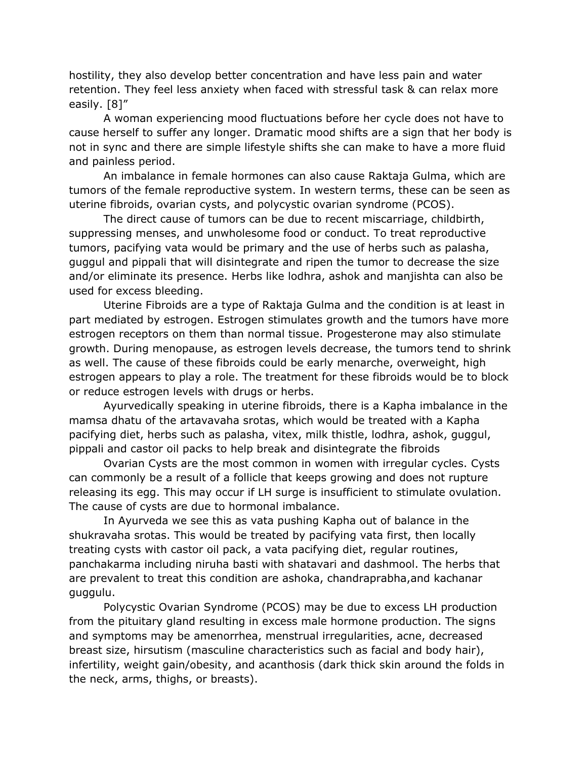hostility, they also develop better concentration and have less pain and water retention. They feel less anxiety when faced with stressful task & can relax more easily. [8]"

A woman experiencing mood fluctuations before her cycle does not have to cause herself to suffer any longer. Dramatic mood shifts are a sign that her body is not in sync and there are simple lifestyle shifts she can make to have a more fluid and painless period.

An imbalance in female hormones can also cause Raktaja Gulma, which are tumors of the female reproductive system. In western terms, these can be seen as uterine fibroids, ovarian cysts, and polycystic ovarian syndrome (PCOS).

The direct cause of tumors can be due to recent miscarriage, childbirth, suppressing menses, and unwholesome food or conduct. To treat reproductive tumors, pacifying vata would be primary and the use of herbs such as palasha, guggul and pippali that will disintegrate and ripen the tumor to decrease the size and/or eliminate its presence. Herbs like lodhra, ashok and manjishta can also be used for excess bleeding.

Uterine Fibroids are a type of Raktaja Gulma and the condition is at least in part mediated by estrogen. Estrogen stimulates growth and the tumors have more estrogen receptors on them than normal tissue. Progesterone may also stimulate growth. During menopause, as estrogen levels decrease, the tumors tend to shrink as well. The cause of these fibroids could be early menarche, overweight, high estrogen appears to play a role. The treatment for these fibroids would be to block or reduce estrogen levels with drugs or herbs.

Ayurvedically speaking in uterine fibroids, there is a Kapha imbalance in the mamsa dhatu of the artavavaha srotas, which would be treated with a Kapha pacifying diet, herbs such as palasha, vitex, milk thistle, lodhra, ashok, guggul, pippali and castor oil packs to help break and disintegrate the fibroids

Ovarian Cysts are the most common in women with irregular cycles. Cysts can commonly be a result of a follicle that keeps growing and does not rupture releasing its egg. This may occur if LH surge is insufficient to stimulate ovulation. The cause of cysts are due to hormonal imbalance.

In Ayurveda we see this as vata pushing Kapha out of balance in the shukravaha srotas. This would be treated by pacifying vata first, then locally treating cysts with castor oil pack, a vata pacifying diet, regular routines, panchakarma including niruha basti with shatavari and dashmool. The herbs that are prevalent to treat this condition are ashoka, chandraprabha,and kachanar guggulu.

Polycystic Ovarian Syndrome (PCOS) may be due to excess LH production from the pituitary gland resulting in excess male hormone production. The signs and symptoms may be amenorrhea, menstrual irregularities, acne, decreased breast size, hirsutism (masculine characteristics such as facial and body hair), infertility, weight gain/obesity, and acanthosis (dark thick skin around the folds in the neck, arms, thighs, or breasts).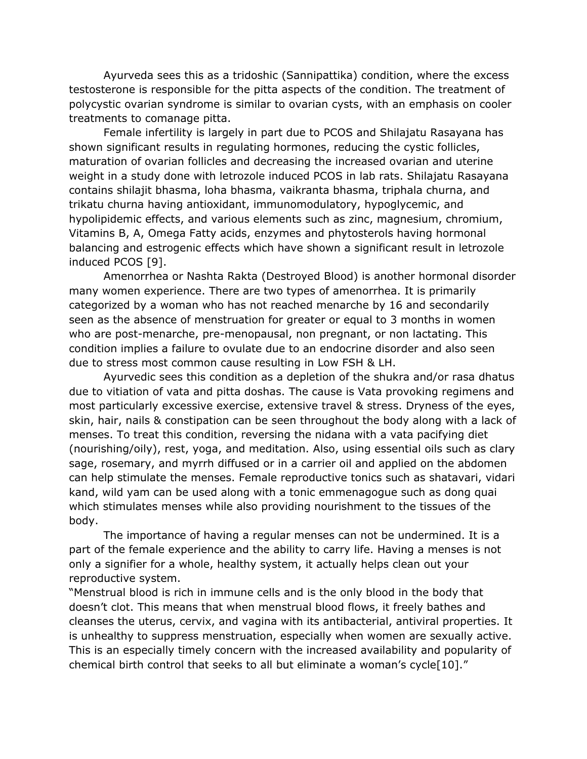Ayurveda sees this as a tridoshic (Sannipattika) condition, where the excess testosterone is responsible for the pitta aspects of the condition. The treatment of polycystic ovarian syndrome is similar to ovarian cysts, with an emphasis on cooler treatments to comanage pitta.

Female infertility is largely in part due to PCOS and Shilajatu Rasayana has shown significant results in regulating hormones, reducing the cystic follicles, maturation of ovarian follicles and decreasing the increased ovarian and uterine weight in a study done with letrozole induced PCOS in lab rats. Shilajatu Rasayana contains shilajit bhasma, loha bhasma, vaikranta bhasma, triphala churna, and trikatu churna having antioxidant, immunomodulatory, hypoglycemic, and hypolipidemic effects, and various elements such as zinc, magnesium, chromium, Vitamins B, A, Omega Fatty acids, enzymes and phytosterols having hormonal balancing and estrogenic effects which have shown a significant result in letrozole induced PCOS [9].

Amenorrhea or Nashta Rakta (Destroyed Blood) is another hormonal disorder many women experience. There are two types of amenorrhea. It is primarily categorized by a woman who has not reached menarche by 16 and secondarily seen as the absence of menstruation for greater or equal to 3 months in women who are post-menarche, pre-menopausal, non pregnant, or non lactating. This condition implies a failure to ovulate due to an endocrine disorder and also seen due to stress most common cause resulting in Low FSH & LH.

Ayurvedic sees this condition as a depletion of the shukra and/or rasa dhatus due to vitiation of vata and pitta doshas. The cause is Vata provoking regimens and most particularly excessive exercise, extensive travel & stress. Dryness of the eyes, skin, hair, nails & constipation can be seen throughout the body along with a lack of menses. To treat this condition, reversing the nidana with a vata pacifying diet (nourishing/oily), rest, yoga, and meditation. Also, using essential oils such as clary sage, rosemary, and myrrh diffused or in a carrier oil and applied on the abdomen can help stimulate the menses. Female reproductive tonics such as shatavari, vidari kand, wild yam can be used along with a tonic emmenagogue such as dong quai which stimulates menses while also providing nourishment to the tissues of the body.

The importance of having a regular menses can not be undermined. It is a part of the female experience and the ability to carry life. Having a menses is not only a signifier for a whole, healthy system, it actually helps clean out your reproductive system.

"Menstrual blood is rich in immune cells and is the only blood in the body that doesn't clot. This means that when menstrual blood flows, it freely bathes and cleanses the uterus, cervix, and vagina with its antibacterial, antiviral properties. It is unhealthy to suppress menstruation, especially when women are sexually active. This is an especially timely concern with the increased availability and popularity of chemical birth control that seeks to all but eliminate a woman's cycle[10]."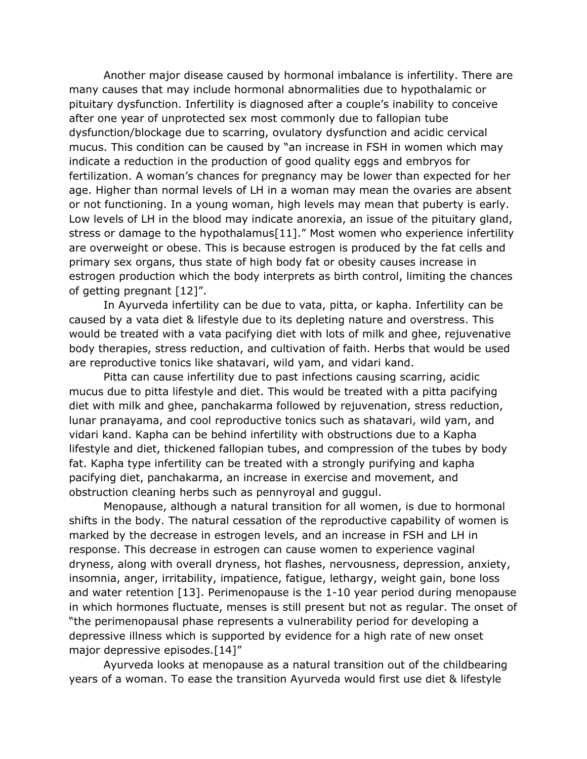Another major disease caused by hormonal imbalance is infertility. There are many causes that may include hormonal abnormalities due to hypothalamic or pituitary dysfunction. Infertility is diagnosed after a couple's inability to conceive after one year of unprotected sex most commonly due to fallopian tube dysfunction/blockage due to scarring, ovulatory dysfunction and acidic cervical mucus. This condition can be caused by "an increase in FSH in women which may indicate a reduction in the production of good quality eggs and embryos for fertilization. A woman's chances for pregnancy may be lower than expected for her age. Higher than normal levels of LH in a woman may mean the ovaries are absent or not functioning. In a young woman, high levels may mean that puberty is early. Low levels of LH in the blood may indicate anorexia, an issue of the pituitary gland, stress or damage to the hypothalamus[11]." Most women who experience infertility are overweight or obese. This is because estrogen is produced by the fat cells and primary sex organs, thus state of high body fat or obesity causes increase in estrogen production which the body interprets as birth control, limiting the chances of getting pregnant [12]".

In Ayurveda infertility can be due to vata, pitta, or kapha. Infertility can be caused by a vata diet & lifestyle due to its depleting nature and overstress. This would be treated with a vata pacifying diet with lots of milk and ghee, rejuvenative body therapies, stress reduction, and cultivation of faith. Herbs that would be used are reproductive tonics like shatavari, wild yam, and vidari kand.

Pitta can cause infertility due to past infections causing scarring, acidic mucus due to pitta lifestyle and diet. This would be treated with a pitta pacifying diet with milk and ghee, panchakarma followed by rejuvenation, stress reduction, lunar pranayama, and cool reproductive tonics such as shatavari, wild yam, and vidari kand. Kapha can be behind infertility with obstructions due to a Kapha lifestyle and diet, thickened fallopian tubes, and compression of the tubes by body fat. Kapha type infertility can be treated with a strongly purifying and kapha pacifying diet, panchakarma, an increase in exercise and movement, and obstruction cleaning herbs such as pennyroyal and guggul.

Menopause, although a natural transition for all women, is due to hormonal shifts in the body. The natural cessation of the reproductive capability of women is marked by the decrease in estrogen levels, and an increase in FSH and LH in response. This decrease in estrogen can cause women to experience vaginal dryness, along with overall dryness, hot flashes, nervousness, depression, anxiety, insomnia, anger, irritability, impatience, fatigue, lethargy, weight gain, bone loss and water retention [13]. Perimenopause is the 1-10 year period during menopause in which hormones fluctuate, menses is still present but not as regular. The onset of "the perimenopausal phase represents a vulnerability period for developing a depressive illness which is supported by evidence for a high rate of new onset major depressive episodes.[14]"

Ayurveda looks at menopause as a natural transition out of the childbearing years of a woman. To ease the transition Ayurveda would first use diet & lifestyle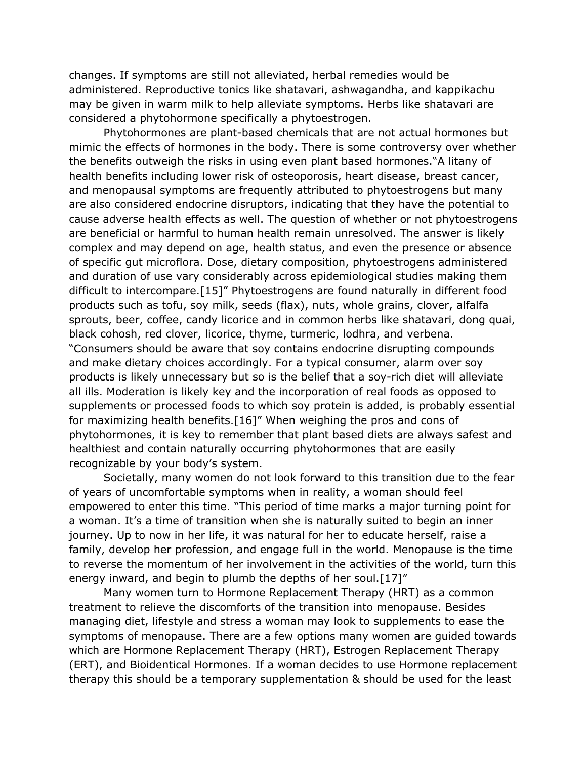changes. If symptoms are still not alleviated, herbal remedies would be administered. Reproductive tonics like shatavari, ashwagandha, and kappikachu may be given in warm milk to help alleviate symptoms. Herbs like shatavari are considered a phytohormone specifically a phytoestrogen.

Phytohormones are plant-based chemicals that are not actual hormones but mimic the effects of hormones in the body. There is some controversy over whether the benefits outweigh the risks in using even plant based hormones."A litany of health benefits including lower risk of osteoporosis, heart disease, breast cancer, and menopausal symptoms are frequently attributed to phytoestrogens but many are also considered endocrine disruptors, indicating that they have the potential to cause adverse health effects as well. The question of whether or not phytoestrogens are beneficial or harmful to human health remain unresolved. The answer is likely complex and may depend on age, health status, and even the presence or absence of specific gut microflora. Dose, dietary composition, phytoestrogens administered and duration of use vary considerably across epidemiological studies making them difficult to intercompare.[15]" Phytoestrogens are found naturally in different food products such as tofu, soy milk, seeds (flax), nuts, whole grains, clover, alfalfa sprouts, beer, coffee, candy licorice and in common herbs like shatavari, dong quai, black cohosh, red clover, licorice, thyme, turmeric, lodhra, and verbena. "Consumers should be aware that soy contains endocrine disrupting compounds and make dietary choices accordingly. For a typical consumer, alarm over soy products is likely unnecessary but so is the belief that a soy-rich diet will alleviate all ills. Moderation is likely key and the incorporation of real foods as opposed to supplements or processed foods to which soy protein is added, is probably essential for maximizing health benefits.[16]" When weighing the pros and cons of phytohormones, it is key to remember that plant based diets are always safest and healthiest and contain naturally occurring phytohormones that are easily recognizable by your body's system.

Societally, many women do not look forward to this transition due to the fear of years of uncomfortable symptoms when in reality, a woman should feel empowered to enter this time. "This period of time marks a major turning point for a woman. It's a time of transition when she is naturally suited to begin an inner journey. Up to now in her life, it was natural for her to educate herself, raise a family, develop her profession, and engage full in the world. Menopause is the time to reverse the momentum of her involvement in the activities of the world, turn this energy inward, and begin to plumb the depths of her soul.[17]"

Many women turn to Hormone Replacement Therapy (HRT) as a common treatment to relieve the discomforts of the transition into menopause. Besides managing diet, lifestyle and stress a woman may look to supplements to ease the symptoms of menopause. There are a few options many women are guided towards which are Hormone Replacement Therapy (HRT), Estrogen Replacement Therapy (ERT), and Bioidentical Hormones. If a woman decides to use Hormone replacement therapy this should be a temporary supplementation & should be used for the least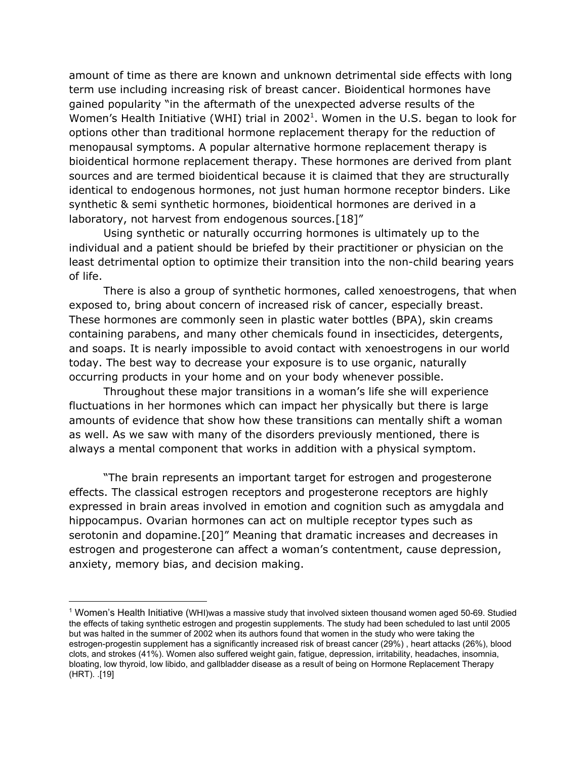amount of time as there are known and unknown detrimental side effects with long term use including increasing risk of breast cancer. Bioidentical hormones have gained popularity "in the aftermath of the unexpected adverse results of the Women's Health Initiative (WHI) trial in 2002<sup>1</sup>. Women in the U.S. began to look for options other than traditional hormone replacement therapy for the reduction of menopausal symptoms. A popular alternative hormone replacement therapy is bioidentical hormone replacement therapy. These hormones are derived from plant sources and are termed bioidentical because it is claimed that they are structurally identical to endogenous hormones, not just human hormone receptor binders. Like synthetic & semi synthetic hormones, bioidentical hormones are derived in a laboratory, not harvest from endogenous sources.[18]"

Using synthetic or naturally occurring hormones is ultimately up to the individual and a patient should be briefed by their practitioner or physician on the least detrimental option to optimize their transition into the non-child bearing years of life.

There is also a group of synthetic hormones, called xenoestrogens, that when exposed to, bring about concern of increased risk of cancer, especially breast. These hormones are commonly seen in plastic water bottles (BPA), skin creams containing parabens, and many other chemicals found in insecticides, detergents, and soaps. It is nearly impossible to avoid contact with xenoestrogens in our world today. The best way to decrease your exposure is to use organic, naturally occurring products in your home and on your body whenever possible.

Throughout these major transitions in a woman's life she will experience fluctuations in her hormones which can impact her physically but there is large amounts of evidence that show how these transitions can mentally shift a woman as well. As we saw with many of the disorders previously mentioned, there is always a mental component that works in addition with a physical symptom.

"The brain represents an important target for estrogen and progesterone effects. The classical estrogen receptors and progesterone receptors are highly expressed in brain areas involved in emotion and cognition such as amygdala and hippocampus. Ovarian hormones can act on multiple receptor types such as serotonin and dopamine.[20]" Meaning that dramatic increases and decreases in estrogen and progesterone can affect a woman's contentment, cause depression, anxiety, memory bias, and decision making.

<sup>1</sup> Women's Health Initiative (WHI)was a massive study that involved sixteen thousand women aged 50-69. Studied the effects of taking synthetic estrogen and progestin supplements. The study had been scheduled to last until 2005 but was halted in the summer of 2002 when its authors found that women in the study who were taking the estrogen-progestin supplement has a significantly increased risk of breast cancer (29%) , heart attacks (26%), blood clots, and strokes (41%). Women also suffered weight gain, fatigue, depression, irritability, headaches, insomnia, bloating, low thyroid, low libido, and gallbladder disease as a result of being on Hormone Replacement Therapy (HRT). .[19]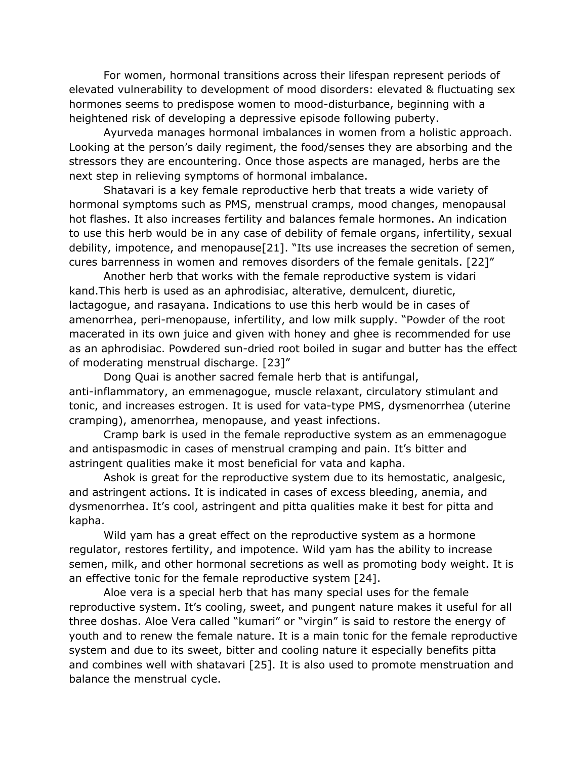For women, hormonal transitions across their lifespan represent periods of elevated vulnerability to development of mood disorders: elevated & fluctuating sex hormones seems to predispose women to mood-disturbance, beginning with a heightened risk of developing a depressive episode following puberty.

Ayurveda manages hormonal imbalances in women from a holistic approach. Looking at the person's daily regiment, the food/senses they are absorbing and the stressors they are encountering. Once those aspects are managed, herbs are the next step in relieving symptoms of hormonal imbalance.

Shatavari is a key female reproductive herb that treats a wide variety of hormonal symptoms such as PMS, menstrual cramps, mood changes, menopausal hot flashes. It also increases fertility and balances female hormones. An indication to use this herb would be in any case of debility of female organs, infertility, sexual debility, impotence, and menopause[21]. "Its use increases the secretion of semen, cures barrenness in women and removes disorders of the female genitals. [22]"

Another herb that works with the female reproductive system is vidari kand.This herb is used as an aphrodisiac, alterative, demulcent, diuretic, lactagogue, and rasayana. Indications to use this herb would be in cases of amenorrhea, peri-menopause, infertility, and low milk supply. "Powder of the root macerated in its own juice and given with honey and ghee is recommended for use as an aphrodisiac. Powdered sun-dried root boiled in sugar and butter has the effect of moderating menstrual discharge. [23]"

Dong Quai is another sacred female herb that is antifungal, anti-inflammatory, an emmenagogue, muscle relaxant, circulatory stimulant and tonic, and increases estrogen. It is used for vata-type PMS, dysmenorrhea (uterine cramping), amenorrhea, menopause, and yeast infections.

Cramp bark is used in the female reproductive system as an emmenagogue and antispasmodic in cases of menstrual cramping and pain. It's bitter and astringent qualities make it most beneficial for vata and kapha.

Ashok is great for the reproductive system due to its hemostatic, analgesic, and astringent actions. It is indicated in cases of excess bleeding, anemia, and dysmenorrhea. It's cool, astringent and pitta qualities make it best for pitta and kapha.

Wild yam has a great effect on the reproductive system as a hormone regulator, restores fertility, and impotence. Wild yam has the ability to increase semen, milk, and other hormonal secretions as well as promoting body weight. It is an effective tonic for the female reproductive system [24].

Aloe vera is a special herb that has many special uses for the female reproductive system. It's cooling, sweet, and pungent nature makes it useful for all three doshas. Aloe Vera called "kumari" or "virgin" is said to restore the energy of youth and to renew the female nature. It is a main tonic for the female reproductive system and due to its sweet, bitter and cooling nature it especially benefits pitta and combines well with shatavari [25]. It is also used to promote menstruation and balance the menstrual cycle.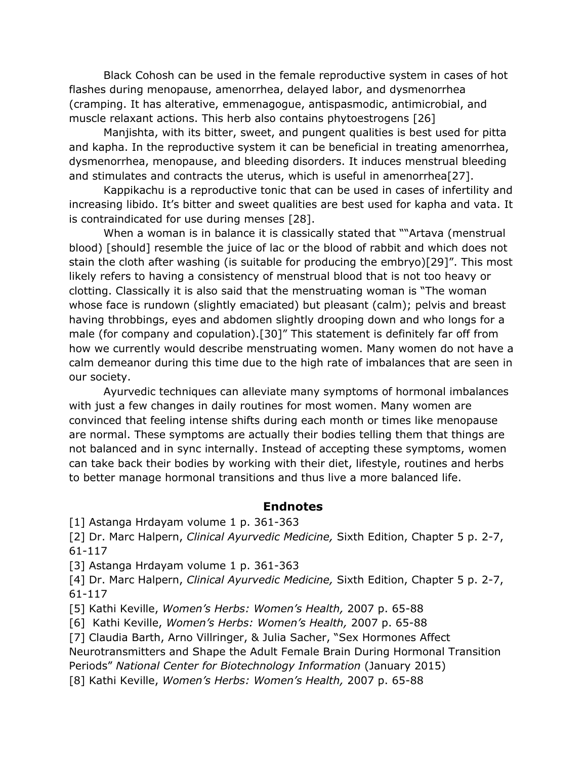Black Cohosh can be used in the female reproductive system in cases of hot flashes during menopause, amenorrhea, delayed labor, and dysmenorrhea (cramping. It has alterative, emmenagogue, antispasmodic, antimicrobial, and muscle relaxant actions. This herb also contains phytoestrogens [26]

Manjishta, with its bitter, sweet, and pungent qualities is best used for pitta and kapha. In the reproductive system it can be beneficial in treating amenorrhea, dysmenorrhea, menopause, and bleeding disorders. It induces menstrual bleeding and stimulates and contracts the uterus, which is useful in amenorrhea[27].

Kappikachu is a reproductive tonic that can be used in cases of infertility and increasing libido. It's bitter and sweet qualities are best used for kapha and vata. It is contraindicated for use during menses [28].

When a woman is in balance it is classically stated that ""Artava (menstrual blood) [should] resemble the juice of lac or the blood of rabbit and which does not stain the cloth after washing (is suitable for producing the embryo)[29]". This most likely refers to having a consistency of menstrual blood that is not too heavy or clotting. Classically it is also said that the menstruating woman is "The woman whose face is rundown (slightly emaciated) but pleasant (calm); pelvis and breast having throbbings, eyes and abdomen slightly drooping down and who longs for a male (for company and copulation).[30]" This statement is definitely far off from how we currently would describe menstruating women. Many women do not have a calm demeanor during this time due to the high rate of imbalances that are seen in our society.

Ayurvedic techniques can alleviate many symptoms of hormonal imbalances with just a few changes in daily routines for most women. Many women are convinced that feeling intense shifts during each month or times like menopause are normal. These symptoms are actually their bodies telling them that things are not balanced and in sync internally. Instead of accepting these symptoms, women can take back their bodies by working with their diet, lifestyle, routines and herbs to better manage hormonal transitions and thus live a more balanced life.

#### **Endnotes**

[1] Astanga Hrdayam volume 1 p. 361-363

[2] Dr. Marc Halpern, *Clinical Ayurvedic Medicine,* Sixth Edition, Chapter 5 p. 2-7, 61-117

[3] Astanga Hrdayam volume 1 p. 361-363

[4] Dr. Marc Halpern, *Clinical Ayurvedic Medicine,* Sixth Edition, Chapter 5 p. 2-7, 61-117

[5] Kathi Keville, *Women's Herbs: Women's Health,* 2007 p. 65-88

[6] Kathi Keville, *Women's Herbs: Women's Health,* 2007 p. 65-88

[7] Claudia Barth, Arno Villringer, & Julia Sacher, "Sex Hormones Affect

Neurotransmitters and Shape the Adult Female Brain During Hormonal Transition

Periods" *National Center for Biotechnology Information* (January 2015)

[8] Kathi Keville, *Women's Herbs: Women's Health,* 2007 p. 65-88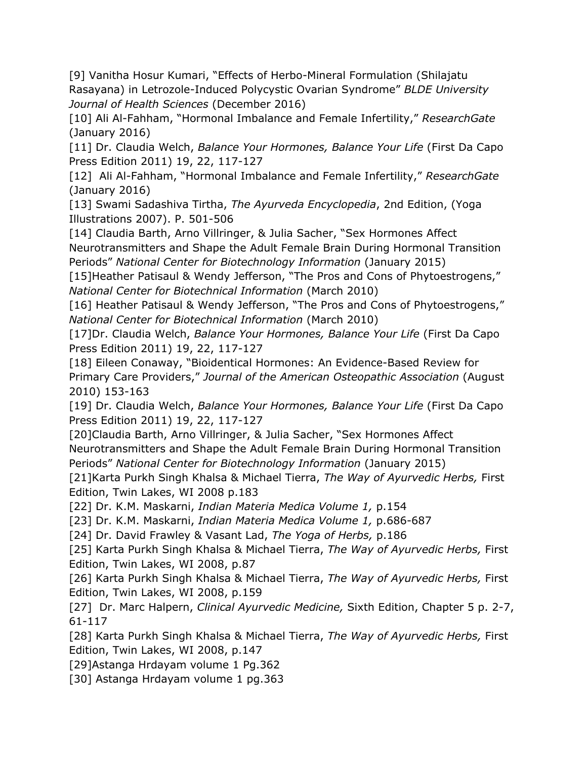[9] Vanitha Hosur Kumari, "Effects of Herbo-Mineral Formulation (Shilajatu Rasayana) in Letrozole-Induced Polycystic Ovarian Syndrome" *BLDE University Journal of Health Sciences* (December 2016)

[10] Ali Al-Fahham, "Hormonal Imbalance and Female Infertility," *ResearchGate* (January 2016)

[11] Dr. Claudia Welch, *Balance Your Hormones, Balance Your Life* (First Da Capo Press Edition 2011) 19, 22, 117-127

[12] Ali Al-Fahham, "Hormonal Imbalance and Female Infertility," *ResearchGate* (January 2016)

[13] Swami Sadashiva Tirtha, *The Ayurveda Encyclopedia*, 2nd Edition, (Yoga Illustrations 2007). P. 501-506

[14] Claudia Barth, Arno Villringer, & Julia Sacher, "Sex Hormones Affect Neurotransmitters and Shape the Adult Female Brain During Hormonal Transition Periods" *National Center for Biotechnology Information* (January 2015)

[15]Heather Patisaul & Wendy Jefferson, "The Pros and Cons of Phytoestrogens," *National Center for Biotechnical Information* (March 2010)

[16] Heather Patisaul & Wendy Jefferson, "The Pros and Cons of Phytoestrogens," *National Center for Biotechnical Information* (March 2010)

[17]Dr. Claudia Welch, *Balance Your Hormones, Balance Your Life* (First Da Capo Press Edition 2011) 19, 22, 117-127

[18] Eileen Conaway, "Bioidentical Hormones: An Evidence-Based Review for Primary Care Providers," *Journal of the American Osteopathic Association* (August 2010) 153-163

[19] Dr. Claudia Welch, *Balance Your Hormones, Balance Your Life* (First Da Capo Press Edition 2011) 19, 22, 117-127

[20]Claudia Barth, Arno Villringer, & Julia Sacher, "Sex Hormones Affect Neurotransmitters and Shape the Adult Female Brain During Hormonal Transition Periods" *National Center for Biotechnology Information* (January 2015)

[21]Karta Purkh Singh Khalsa & Michael Tierra, *The Way of Ayurvedic Herbs,* First Edition, Twin Lakes, WI 2008 p.183

[22] Dr. K.M. Maskarni, *Indian Materia Medica Volume 1,* p.154

[23] Dr. K.M. Maskarni, *Indian Materia Medica Volume 1,* p.686-687

[24] Dr. David Frawley & Vasant Lad, *The Yoga of Herbs,* p.186

[25] Karta Purkh Singh Khalsa & Michael Tierra, *The Way of Ayurvedic Herbs,* First Edition, Twin Lakes, WI 2008, p.87

[26] Karta Purkh Singh Khalsa & Michael Tierra, *The Way of Ayurvedic Herbs,* First Edition, Twin Lakes, WI 2008, p.159

[27] Dr. Marc Halpern, *Clinical Ayurvedic Medicine,* Sixth Edition, Chapter 5 p. 2-7, 61-117

[28] Karta Purkh Singh Khalsa & Michael Tierra, *The Way of Ayurvedic Herbs,* First Edition, Twin Lakes, WI 2008, p.147

[29]Astanga Hrdayam volume 1 Pg.362

[30] Astanga Hrdayam volume 1 pg.363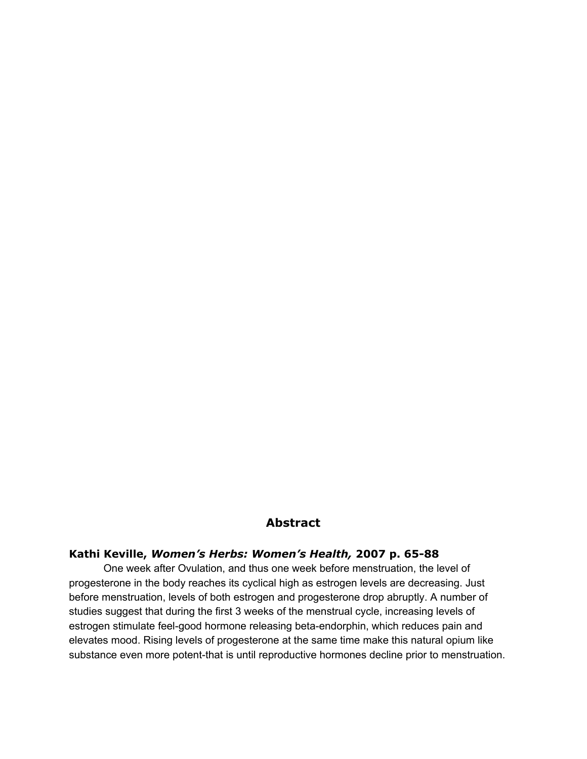### **Abstract**

### **Kathi Keville,** *Women's Herbs: Women's Health,* **2007 p. 65-88**

One week after Ovulation, and thus one week before menstruation, the level of progesterone in the body reaches its cyclical high as estrogen levels are decreasing. Just before menstruation, levels of both estrogen and progesterone drop abruptly. A number of studies suggest that during the first 3 weeks of the menstrual cycle, increasing levels of estrogen stimulate feel-good hormone releasing beta-endorphin, which reduces pain and elevates mood. Rising levels of progesterone at the same time make this natural opium like substance even more potent-that is until reproductive hormones decline prior to menstruation.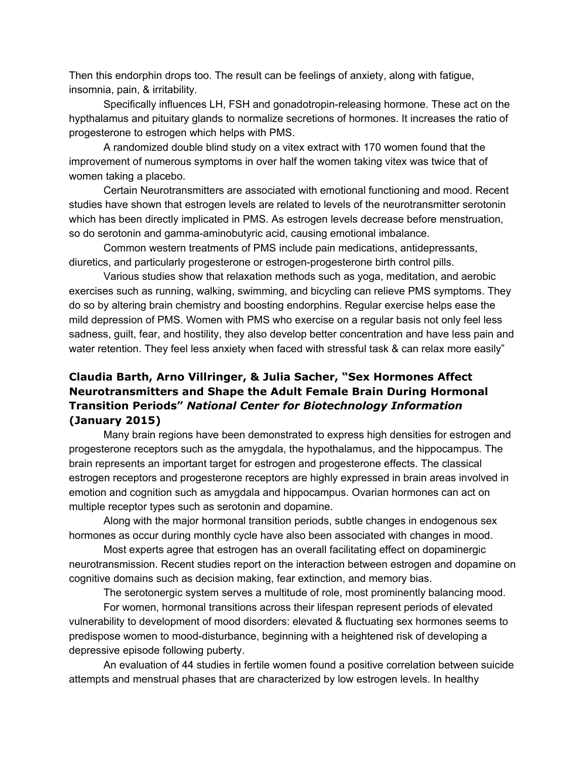Then this endorphin drops too. The result can be feelings of anxiety, along with fatigue, insomnia, pain, & irritability.

Specifically influences LH, FSH and gonadotropin-releasing hormone. These act on the hypthalamus and pituitary glands to normalize secretions of hormones. It increases the ratio of progesterone to estrogen which helps with PMS.

A randomized double blind study on a vitex extract with 170 women found that the improvement of numerous symptoms in over half the women taking vitex was twice that of women taking a placebo.

Certain Neurotransmitters are associated with emotional functioning and mood. Recent studies have shown that estrogen levels are related to levels of the neurotransmitter serotonin which has been directly implicated in PMS. As estrogen levels decrease before menstruation, so do serotonin and gamma-aminobutyric acid, causing emotional imbalance.

Common western treatments of PMS include pain medications, antidepressants, diuretics, and particularly progesterone or estrogen-progesterone birth control pills.

Various studies show that relaxation methods such as yoga, meditation, and aerobic exercises such as running, walking, swimming, and bicycling can relieve PMS symptoms. They do so by altering brain chemistry and boosting endorphins. Regular exercise helps ease the mild depression of PMS. Women with PMS who exercise on a regular basis not only feel less sadness, guilt, fear, and hostility, they also develop better concentration and have less pain and water retention. They feel less anxiety when faced with stressful task & can relax more easily"

# **Claudia Barth, Arno Villringer, & Julia Sacher, "Sex Hormones Affect Neurotransmitters and Shape the Adult Female Brain During Hormonal Transition Periods"** *National Center for Biotechnology Information* **(January 2015)**

Many brain regions have been demonstrated to express high densities for estrogen and progesterone receptors such as the amygdala, the hypothalamus, and the hippocampus. The brain represents an important target for estrogen and progesterone effects. The classical estrogen receptors and progesterone receptors are highly expressed in brain areas involved in emotion and cognition such as amygdala and hippocampus. Ovarian hormones can act on multiple receptor types such as serotonin and dopamine.

Along with the major hormonal transition periods, subtle changes in endogenous sex hormones as occur during monthly cycle have also been associated with changes in mood.

Most experts agree that estrogen has an overall facilitating effect on dopaminergic neurotransmission. Recent studies report on the interaction between estrogen and dopamine on cognitive domains such as decision making, fear extinction, and memory bias.

The serotonergic system serves a multitude of role, most prominently balancing mood.

For women, hormonal transitions across their lifespan represent periods of elevated vulnerability to development of mood disorders: elevated & fluctuating sex hormones seems to predispose women to mood-disturbance, beginning with a heightened risk of developing a depressive episode following puberty.

An evaluation of 44 studies in fertile women found a positive correlation between suicide attempts and menstrual phases that are characterized by low estrogen levels. In healthy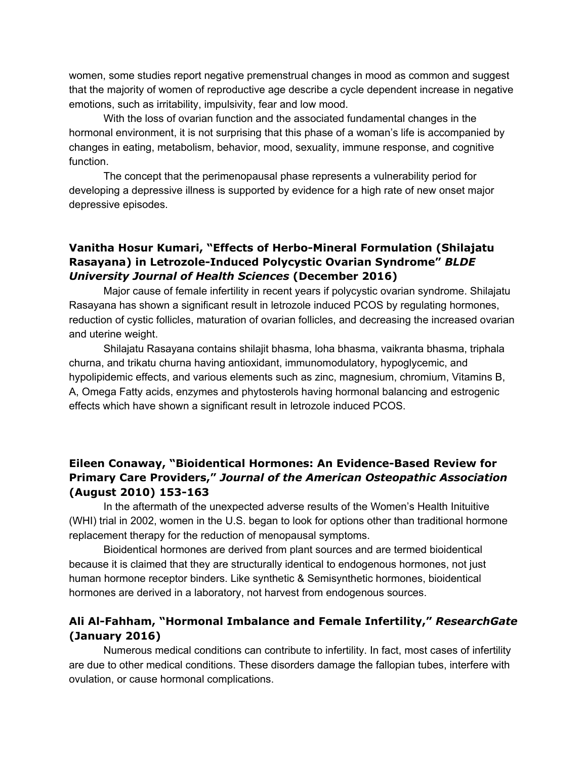women, some studies report negative premenstrual changes in mood as common and suggest that the majority of women of reproductive age describe a cycle dependent increase in negative emotions, such as irritability, impulsivity, fear and low mood.

With the loss of ovarian function and the associated fundamental changes in the hormonal environment, it is not surprising that this phase of a woman's life is accompanied by changes in eating, metabolism, behavior, mood, sexuality, immune response, and cognitive function.

The concept that the perimenopausal phase represents a vulnerability period for developing a depressive illness is supported by evidence for a high rate of new onset major depressive episodes.

### **Vanitha Hosur Kumari, "Effects of Herbo-Mineral Formulation (Shilajatu Rasayana) in Letrozole-Induced Polycystic Ovarian Syndrome"** *BLDE University Journal of Health Sciences* **(December 2016)**

Major cause of female infertility in recent years if polycystic ovarian syndrome. Shilajatu Rasayana has shown a significant result in letrozole induced PCOS by regulating hormones, reduction of cystic follicles, maturation of ovarian follicles, and decreasing the increased ovarian and uterine weight.

Shilajatu Rasayana contains shilajit bhasma, loha bhasma, vaikranta bhasma, triphala churna, and trikatu churna having antioxidant, immunomodulatory, hypoglycemic, and hypolipidemic effects, and various elements such as zinc, magnesium, chromium, Vitamins B, A, Omega Fatty acids, enzymes and phytosterols having hormonal balancing and estrogenic effects which have shown a significant result in letrozole induced PCOS.

# **Eileen Conaway, "Bioidentical Hormones: An Evidence-Based Review for Primary Care Providers,"** *Journal of the American Osteopathic Association* **(August 2010) 153-163**

In the aftermath of the unexpected adverse results of the Women's Health Inituitive (WHI) trial in 2002, women in the U.S. began to look for options other than traditional hormone replacement therapy for the reduction of menopausal symptoms.

Bioidentical hormones are derived from plant sources and are termed bioidentical because it is claimed that they are structurally identical to endogenous hormones, not just human hormone receptor binders. Like synthetic & Semisynthetic hormones, bioidentical hormones are derived in a laboratory, not harvest from endogenous sources.

# **Ali Al-Fahham, "Hormonal Imbalance and Female Infertility,"** *ResearchGate* **(January 2016)**

Numerous medical conditions can contribute to infertility. In fact, most cases of infertility are due to other medical conditions. These disorders damage the fallopian tubes, interfere with ovulation, or cause hormonal complications.